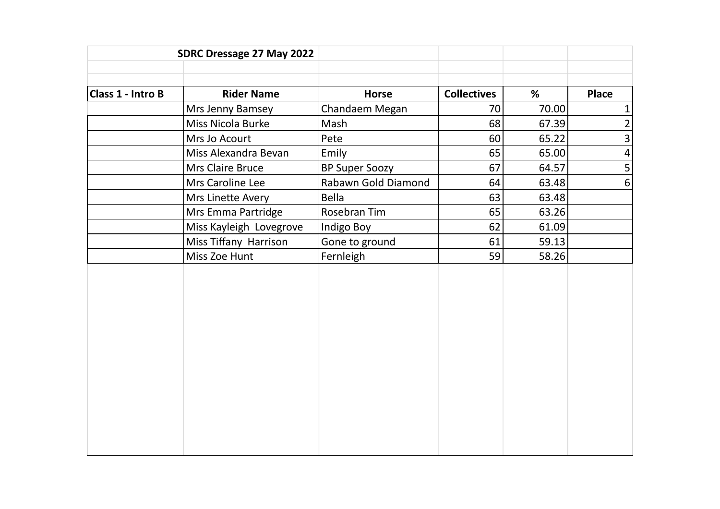| SDRC Dressage 27 May 2022 |                         |                       |                    |       |                |
|---------------------------|-------------------------|-----------------------|--------------------|-------|----------------|
|                           |                         |                       |                    |       |                |
| Class 1 - Intro B         | <b>Rider Name</b>       | <b>Horse</b>          | <b>Collectives</b> | %     | <b>Place</b>   |
|                           | Mrs Jenny Bamsey        | Chandaem Megan        | 70                 | 70.00 | $\mathbf{1}$   |
|                           | Miss Nicola Burke       | Mash                  | 68                 | 67.39 | $\overline{2}$ |
|                           | Mrs Jo Acourt           | Pete                  | 60                 | 65.22 | 3              |
|                           | Miss Alexandra Bevan    | Emily                 | 65                 | 65.00 | $\overline{4}$ |
|                           | Mrs Claire Bruce        | <b>BP Super Soozy</b> | 67                 | 64.57 | 5              |
|                           | Mrs Caroline Lee        | Rabawn Gold Diamond   | 64                 | 63.48 | $6\,$          |
|                           | Mrs Linette Avery       | <b>Bella</b>          | 63                 | 63.48 |                |
|                           | Mrs Emma Partridge      | Rosebran Tim          | 65                 | 63.26 |                |
|                           | Miss Kayleigh Lovegrove | Indigo Boy            | 62                 | 61.09 |                |
|                           | Miss Tiffany Harrison   | Gone to ground        | 61                 | 59.13 |                |
|                           | Miss Zoe Hunt           | Fernleigh             | 59                 | 58.26 |                |
|                           |                         |                       |                    |       |                |